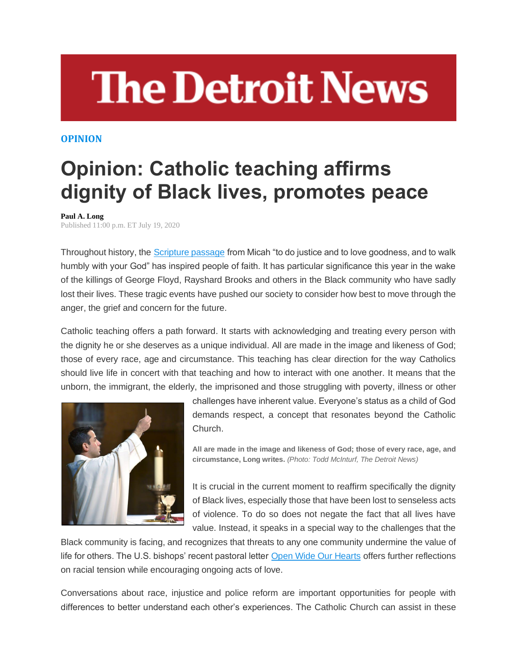## **The Detroit News**

## **OPINION**

## **Opinion: Catholic teaching affirms dignity of Black lives, promotes peace**

## **Paul A. Long**

Published 11:00 p.m. ET July 19, 2020

Throughout history, the [Scripture passage](https://www.biblegateway.com/passage/?search=Micah%206:7-9&version=ESV) from Micah "to do justice and to love goodness, and to walk humbly with your God" has inspired people of faith. It has particular significance this year in the wake of the killings of George Floyd, Rayshard Brooks and others in the Black community who have sadly lost their lives. These tragic events have pushed our society to consider how best to move through the anger, the grief and concern for the future.

Catholic teaching offers a path forward. It starts with acknowledging and treating every person with the dignity he or she deserves as a unique individual. All are made in the image and likeness of God; those of every race, age and circumstance. This teaching has clear direction for the way Catholics should live life in concert with that teaching and how to interact with one another. It means that the unborn, the immigrant, the elderly, the imprisoned and those struggling with poverty, illness or other



challenges have inherent value. Everyone's status as a child of God demands respect, a concept that resonates beyond the Catholic Church.

**All are made in the image and likeness of God; those of every race, age, and circumstance, Long writes.** *(Photo: Todd McInturf, The Detroit News)*

It is crucial in the current moment to reaffirm specifically the dignity of Black lives, especially those that have been lost to senseless acts of violence. To do so does not negate the fact that all lives have value. Instead, it speaks in a special way to the challenges that the

Black community is facing, and recognizes that threats to any one community undermine the value of life for others. The U.S. bishops' recent pastoral letter [Open Wide Our Hearts](http://www.usccb.org/issues-and-action/human-life-and-dignity/racism/upload/open-wide-our-hearts.pdf) offers further reflections on racial tension while encouraging ongoing acts of love.

Conversations about race, injustice and police reform are important opportunities for people with differences to better understand each other's experiences. The Catholic Church can assist in these